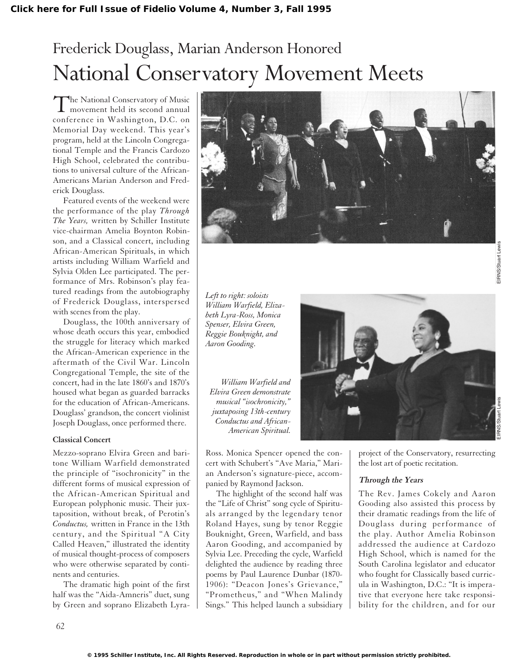# Frederick Douglass, Marian Anderson Honored National Conservatory Movement Meets

The National Conservatory of Music<br>movement held its second annual conference in Washington, D.C. on Memorial Day weekend. This year's program, held at the Lincoln Congregational Temple and the Francis Cardozo High School, celebrated the contributions to universal culture of the African-Americans Marian Anderson and Frederick Douglass.

Featured events of the weekend were the performance of the play *Through The Years,* written by Schiller Institute vice-chairman Amelia Boynton Robinson, and a Classical concert, including African-American Spirituals, in which artists including William Warfield and Sylvia Olden Lee participated. The performance of Mrs. Robinson's play featured readings from the autobiography of Frederick Douglass, interspersed with scenes from the play.

Douglass, the 100th anniversary of whose death occurs this year, embodied the struggle for literacy which marked the African-American experience in the aftermath of the Civil War. Lincoln Congregational Temple, the site of the concert, had in the late 1860's and 1870's housed what began as guarded barracks for the education of African-Americans. Douglass' grandson, the concert violinist Joseph Douglass, once performed there.

#### **Classical Concert**

Mezzo-soprano Elvira Green and baritone William Warfield demonstrated the principle of "isochronicity" in the different forms of musical expression of the African-American Spiritual and European polyphonic music. Their juxtaposition, without break, of Perotin's *Conductus,* written in France in the 13th century, and the Spiritual "A City Called Heaven," illustrated the identity of musical thought-process of composers who were otherwise separated by continents and centuries.

The dramatic high point of the first half was the "Aida-Amneris" duet, sung by Green and soprano Elizabeth Lyra-



*Left to right: soloists William Warfield, Elizabeth Lyra-Ross, Monica Spenser, Elvira Green, Reggie Bouknight, and Aaron Gooding.*

*William Warfield and Elvira Green demonstrate musical "isochronicity," juxtaposing 13th-century Conductus and African-*

Ross. Monica Spencer opened the concert with Schubert's "Ave Maria," Marian Anderson's signature-piece, accompanied by Raymond Jackson.

The highlight of the second half was the "Life of Christ" song cycle of Spirituals arranged by the legendary tenor Roland Hayes, sung by tenor Reggie Bouknight, Green, Warfield, and bass Aaron Gooding, and accompanied by Sylvia Lee. Preceding the cycle, Warfield delighted the audience by reading three poems by Paul Laurence Dunbar (1870- 1906): "Deacon Jones's Grievance," "Prometheus," and "When Malindy Sings." This helped launch a subsidiary



project of the Conservatory, resurrecting the lost art of poetic recitation.

# **Through the Years**

The Rev. James Cokely and Aaron Gooding also assisted this process by their dramatic readings from the life of Douglass during performance of the play. Author Amelia Robinson addressed the audience at Cardozo High School, which is named for the South Carolina legislator and educator who fought for Classically based curricula in Washington, D.C.: "It is imperative that everyone here take responsibility for the children, and for our

62